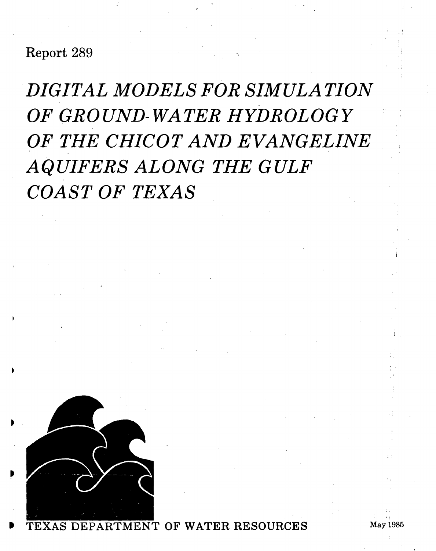Report 289

*DIGITAL MODELS FOR SIMULATION OF GROUND- WATER HYDROLOGY OF THE CHICOT AND EVANGELINE AQUIFERS ALONG THE GULF COAST OF TEXAS* 



OF WATER RESOURCES May 1985

, ,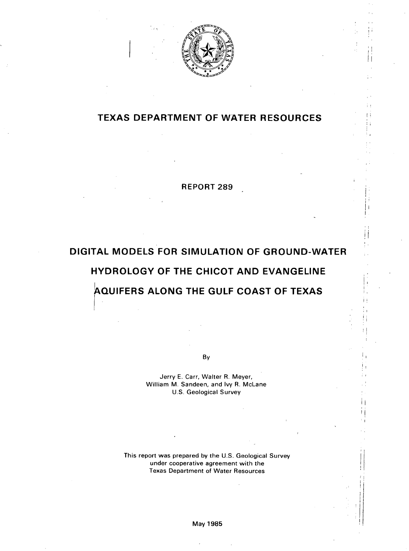

 $\frac{1}{1}$ I'

• I I I  $\pm$ 

I;

Ěτ

÷,

I' I I: II I

 $\prod_{i=1}^n$ 

i I i I. i! , I I' • I

 $\Gamma_1$ I I

 $\left\{ \begin{array}{c} 1 \\ 1 \end{array} \right\}$ 

## **TEXAS DEPARTMENT OF WATER RESOURCES**

#### **REPORT 289**

# **DIGITAL MODELS FOR SIMULATION OF GROUND-WATER HYDROLOGY OF THE CHICOT AND EVANGELINE**

# **AQUIFERS ALONG THE GULF COAST OF TEXAS**   $\vert$

By

Jerry E. Carr, Walter R. Meyer, William M. Sandeen, and Ivy R. McLane U.S. Geological Survey

This report was prepared by the U.S. Geological Survey under cooperative agreement with the Texas Department of Water Resources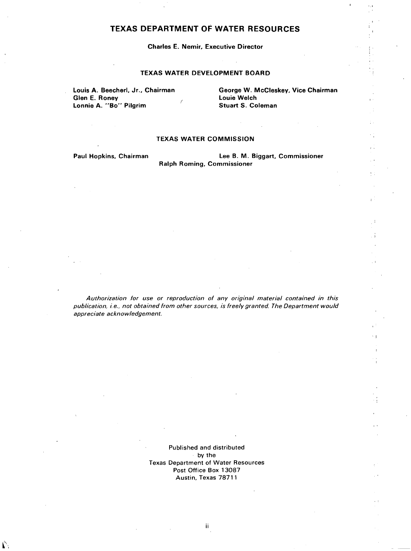#### TEXAS DEPARTMENT OF WATER RESOURCES

#### Charles E. Nemir. Executive Director

#### TEXAS WATER DEVELOPMENT BOARD

Louis A. Beecherl, Jr., Chairman Glen E. Roney Lonnie A. "Bo" Pilgrim

George W. McCleskey. Vice Chairman Louie Welch Stuart S. Coleman

 $\cdot$  I

#### TEXAS WATER COMMISSION

Paul Hopkins. Chairman

 $\Gamma$ 

Lee B. M. Biggart. Commissioner Ralph Roming. Commissioner

Authorization for use or reproduction of any original material contained in this publication, i.e., not obtained from other sources, is freely granted. The Department would appreciate acknowledgement.

> Published and distributed by the Texas Department of Water Resources Post Office Box 13087 Austin, Texas 78711

> > ii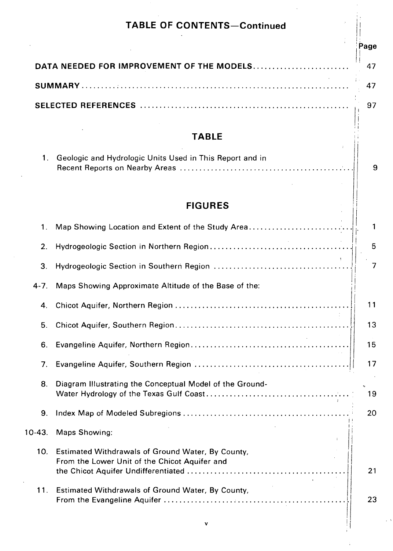|               | <b>TABLE OF CONTENTS-Continued</b>                                                                 |      |
|---------------|----------------------------------------------------------------------------------------------------|------|
|               |                                                                                                    | Page |
|               | DATA NEEDED FOR IMPROVEMENT OF THE MODELS                                                          |      |
|               |                                                                                                    |      |
|               |                                                                                                    |      |
|               |                                                                                                    |      |
|               | <b>TABLE</b>                                                                                       |      |
| 1.            | Geologic and Hydrologic Units Used in This Report and in                                           |      |
|               | <b>FIGURES</b>                                                                                     |      |
| $\mathbf 1$ . | Map Showing Location and Extent of the Study Area                                                  |      |
| 2.            |                                                                                                    |      |
| 3.            |                                                                                                    |      |
| $4 - 7$ .     | Maps Showing Approximate Altitude of the Base of the:                                              |      |
| 4.            |                                                                                                    |      |
| 5.            |                                                                                                    |      |
| 6.            |                                                                                                    |      |
| 7.            |                                                                                                    |      |
| 8.            | Diagram Illustrating the Conceptual Model of the Ground-                                           |      |
| 9.            |                                                                                                    |      |
| $10-43.$      | Maps Showing:                                                                                      |      |
| 10.           | Estimated Withdrawals of Ground Water, By County,<br>From the Lower Unit of the Chicot Aquifer and |      |
| 11.           | Estimated Withdrawals of Ground Water, By County,                                                  |      |
|               | ۷                                                                                                  |      |
|               |                                                                                                    |      |

 $\frac{1}{\sqrt{2}}$ 

 $\ddot{\phantom{0}}$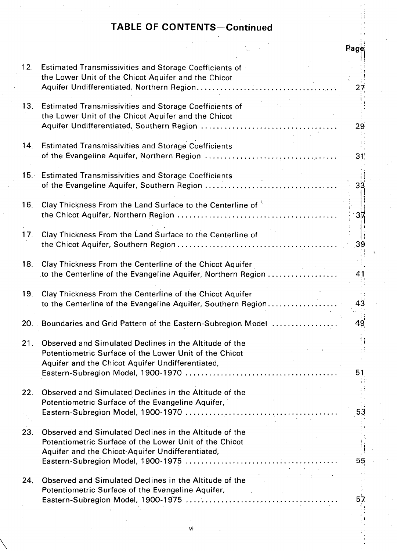# **TABLE OF CONTENTS-Continued**

|     |                                                                                                                                                                      |                       | Page            |
|-----|----------------------------------------------------------------------------------------------------------------------------------------------------------------------|-----------------------|-----------------|
| 12. | <b>Estimated Transmissivities and Storage Coefficients of</b><br>the Lower Unit of the Chicot Aquifer and the Chicot                                                 |                       | 27              |
| 13. | <b>Estimated Transmissivities and Storage Coefficients of</b><br>the Lower Unit of the Chicot Aquifer and the Chicot                                                 |                       | 29              |
| 14. | <b>Estimated Transmissivities and Storage Coefficients</b>                                                                                                           |                       | 31              |
| 15. | <b>Estimated Transmissivities and Storage Coefficients</b>                                                                                                           |                       | $3\overline{3}$ |
| 16. | Clay Thickness From the Land Surface to the Centerline of                                                                                                            |                       | $3\overline{7}$ |
| 17. | Clay Thickness From the Land Surface to the Centerline of                                                                                                            |                       | 39              |
| 18. | Clay Thickness From the Centerline of the Chicot Aquifer<br>to the Centerline of the Evangeline Aquifer, Northern Region                                             |                       | 41              |
| 19. | Clay Thickness From the Centerline of the Chicot Aquifer<br>to the Centerline of the Evangeline Aquifer, Southern Region                                             |                       | 43              |
|     | 20. Boundaries and Grid Pattern of the Eastern-Subregion Model                                                                                                       |                       | 49              |
| 21. | Observed and Simulated Declines in the Altitude of the<br>Potentiometric Surface of the Lower Unit of the Chicot<br>Aquifer and the Chicot Aquifer Undifferentiated, |                       | 51              |
| 22. | Observed and Simulated Declines in the Altitude of the<br>Potentiometric Surface of the Evangeline Aquifer,                                                          | $\Delta \sim 10^{11}$ | 53              |
| 23. | Observed and Simulated Declines in the Altitude of the<br>Potentiometric Surface of the Lower Unit of the Chicot<br>Aquifer and the Chicot-Aquifer Undifferentiated, |                       | 55              |
| 24. | Observed and Simulated Declines in the Altitude of the<br>Potentiometric Surface of the Evangeline Aquifer,                                                          |                       | 57              |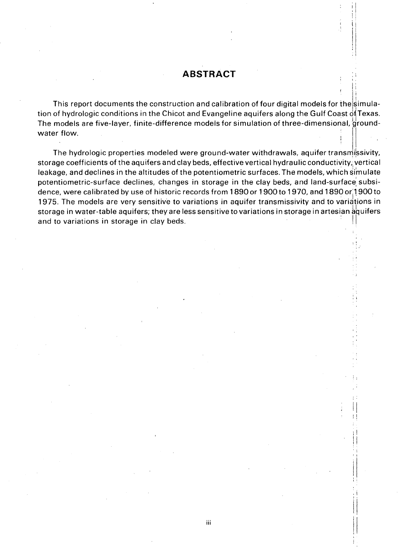# **ABSTRACT**

\

 $\prod_{i=1}^n$ 

, , , I , ,  $\left| \begin{array}{c} 1 \\ 1 \end{array} \right|$ 

; I

, '  $\mathbb{I}$ ! !

i 1  $\prod_{i=1}^n$ ,  $\ddot{\phantom{a}}$ 

 $\prod_{i=1}^n$ 

. !  $\pm 1$  $\mathbb{I}$ 

This report documents the construction and calibration of four digital models for the simulation of hydrologic conditions in the Chicot and Evangeline aquifers along the Gulf Coast of Texas. The models are five-layer, finite-difference models for simulation of three-dimensional, groundwater flow.

The hydrologic properties modeled were ground-water withdrawals, aquifer transmissivity, storage coefficients of the aquifers and clay beds, effective vertical hydraulic conductivity, vertical leakage, and declines in the altitudes of the potentiometric surfaces. The models, which simulate potentiometric-surface declines, changes in storage in the clay beds, and land-surface subsidence, were calibrated by use of historic records from 1890 or 1900 to 1970, and 1890 or 1900 to 1975. The models are very sensitive to variations in aquifer transmissivity and to variations in storage in water-table aquifers; they are less sensitive to variations in storage in artesian aquifers and to variations in storage in clay beds.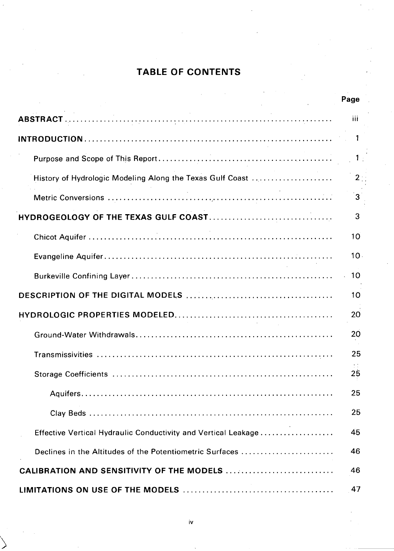# **TABLE OF CONTENTS**

|                                                                | Page            |
|----------------------------------------------------------------|-----------------|
|                                                                | iii             |
|                                                                | -1              |
|                                                                | 1 <sub>1</sub>  |
| History of Hydrologic Modeling Along the Texas Gulf Coast      | 2 <sup>1</sup>  |
|                                                                | $3^{\circ}$     |
|                                                                | 3               |
|                                                                | 10              |
|                                                                | 10 <sub>1</sub> |
|                                                                | $-10$           |
|                                                                | 10              |
|                                                                | 20              |
|                                                                | 20              |
|                                                                | 25              |
|                                                                | 25              |
|                                                                | 25              |
|                                                                | 25              |
| Effective Vertical Hydraulic Conductivity and Vertical Leakage | 45              |
| Declines in the Altitudes of the Potentiometric Surfaces       | 46              |
| CALIBRATION AND SENSITIVITY OF THE MODELS                      | 46              |
|                                                                | 47              |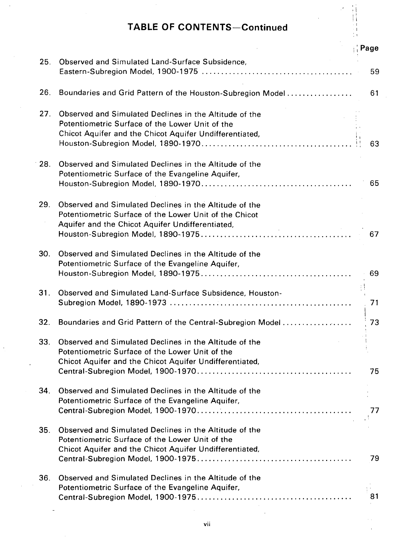# **TABLE OF CONTENTS-Continued**

|     |                                                                                                                                                                                        | Page     |
|-----|----------------------------------------------------------------------------------------------------------------------------------------------------------------------------------------|----------|
| 25. | Observed and Simulated Land-Surface Subsidence,                                                                                                                                        | 59       |
| 26. | Boundaries and Grid Pattern of the Houston-Subregion Model                                                                                                                             | 61       |
| 27. | Observed and Simulated Declines in the Altitude of the<br>Potentiometric Surface of the Lower Unit of the<br>Chicot Aquifer and the Chicot Aquifer Undifferentiated,                   | 63       |
| 28. | Observed and Simulated Declines in the Altitude of the<br>Potentiometric Surface of the Evangeline Aquifer,                                                                            | 65       |
| 29. | Observed and Simulated Declines in the Altitude of the<br>Potentiometric Surface of the Lower Unit of the Chicot<br>Aquifer and the Chicot Aquifer Undifferentiated,<br><b>College</b> | 67       |
| 30. | Observed and Simulated Declines in the Altitude of the<br>Potentiometric Surface of the Evangeline Aquifer,                                                                            | 69       |
| 31. | Observed and Simulated Land-Surface Subsidence, Houston-                                                                                                                               | ŧI<br>71 |
| 32. | Boundaries and Grid Pattern of the Central-Subregion Model                                                                                                                             | 73       |
| 33. | Observed and Simulated Declines in the Altitude of the<br>Potentiometric Surface of the Lower Unit of the<br>Chicot Aquifer and the Chicot Aquifer Undifferentiated,                   | 75       |
| 34. | Observed and Simulated Declines in the Altitude of the<br>Potentiometric Surface of the Evangeline Aquifer,                                                                            | 77       |
| 35. | Observed and Simulated Declines in the Altitude of the<br>Potentiometric Surface of the Lower Unit of the<br>Chicot Aquifer and the Chicot Aquifer Undifferentiated,                   | 79       |
| 36. | Observed and Simulated Declines in the Altitude of the<br>Potentiometric Surface of the Evangeline Aquifer,                                                                            | 81       |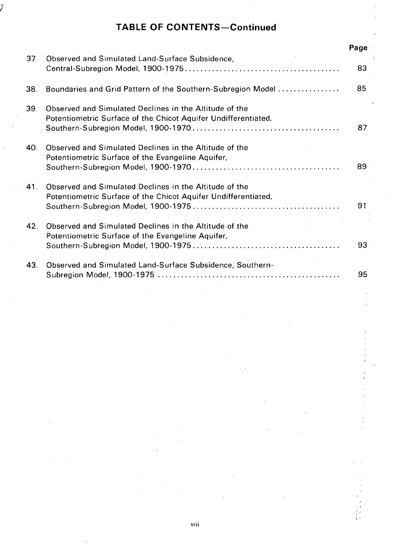# **TABLE OF CONTENTS-Continued**

I

|     |                                                                                                                          | Page |  |  |  |  |  |
|-----|--------------------------------------------------------------------------------------------------------------------------|------|--|--|--|--|--|
| 37. | Observed and Simulated Land-Surface Subsidence,                                                                          | 83   |  |  |  |  |  |
| 38. | Boundaries and Grid Pattern of the Southern-Subregion Model                                                              |      |  |  |  |  |  |
| 39. | Observed and Simulated Declines in the Altitude of the<br>Potentiometric Surface of the Chicot Aquifer Undifferentiated, |      |  |  |  |  |  |
| 40. | Observed and Simulated Declines in the Altitude of the<br>Potentiometric Surface of the Evangeline Aquifer,              |      |  |  |  |  |  |
| 41. | Observed and Simulated Declines in the Altitude of the<br>Potentiometric Surface of the Chicot Aquifer Undifferentiated, | 91   |  |  |  |  |  |
| 42. | Observed and Simulated Declines in the Altitude of the<br>Potentiometric Surface of the Evangeline Aquifer,              | 93   |  |  |  |  |  |
| 43. | Observed and Simulated Land-Surface Subsidence, Southern-                                                                | 95   |  |  |  |  |  |
|     |                                                                                                                          |      |  |  |  |  |  |
|     |                                                                                                                          |      |  |  |  |  |  |
|     |                                                                                                                          |      |  |  |  |  |  |
|     |                                                                                                                          |      |  |  |  |  |  |
|     |                                                                                                                          |      |  |  |  |  |  |
|     |                                                                                                                          |      |  |  |  |  |  |
|     |                                                                                                                          |      |  |  |  |  |  |
|     |                                                                                                                          |      |  |  |  |  |  |

计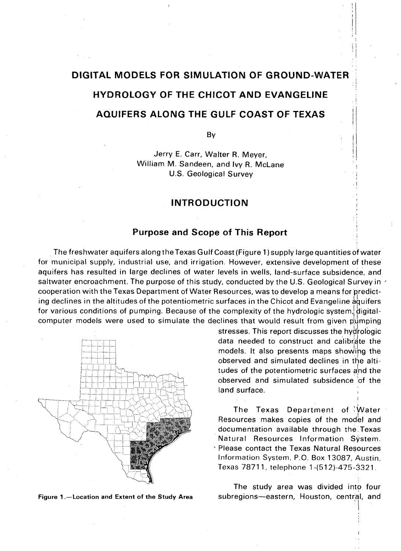# **DIGITAL MODELS FOR SIMULATION OF GROUND-WATER HYDROLOGY OF THE CHICOT AND EVANGELINE AQUIFERS ALONG THE GULF COAST OF TEXAS**

By

Jerry E. Carr, Walter R. Meyer, William M. Sandeen, and Ivy R. McLane U.S. Geological Survey

#### **INTRODUCTION**

#### **Purpose and Scope of This Report**

, The freshwater aquifers along the Texas Gulf Coast (Figure 1) supply large quantities of water for municipal supply, industrial use, and irrigation. However, extensive development of these aquifers has resulted in large declines of water levels in wells, land-surface subsidence, and saltwater encroachment. The purpose of this study, conducted by the U.S. Geological Survey in  $\gamma$ cooperation with the Texas Department of Water Resources, was to develop a means for predicting declines in the altitudes of the potentiometric surfaces in the Chicot and Evangeline aquifers for various conditions of pumping. Because of the complexity of the hydrologic system, digitalcomputer models were used to simulate the declines that would result from given pumping



Figure 1.-Location and Extent of the Study Area

stresses. This report discusses the hydrologic data needed to construct and calibrate the models. It also presents maps showing the observed and simulated declines in the altitudes of the potentiometric surfaces and the observed and simulated subsidence of the land surface.

 $,$ i I : I I

 $: \mathsf{I}$  ,  $\mathbf{r}$ 

, I

The Texas Department of Water Resources makes copies of the model and documentation available through the: Texas Natural Resources Information System. , Please contact the Texas Natural Resources Information System, P.O. Box 13087, Austin, Texas 78711, telephone 1 -(512)-475-3321.

The study area was divided into four subregions-eastern, Houston, central, and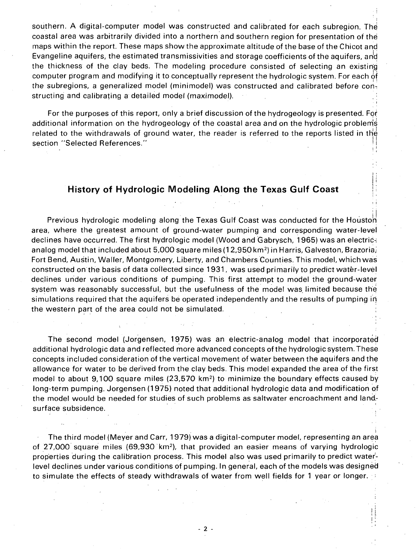southern. A digital-computer model was constructed and calibrated for each subregion. The coastal area was arbitrarily divided into a northern and southern region for presentation of the maps within the report. These maps show the approximate altitude of the base of the Chicot and Evangeline aquifers, the estimated transmissivities and storage coefficients of the aquifers, and the thickness of the clay beds. The modeling procedure consisted of selecting an existin'g computer program and modifying it to conceptually represent the hydrologic system. For each of the subregions, a generalized model (minimodel) was constructed and calibrated before coh, structing and calibrating a detailed model (maximodel).

For the purposes of this report, only a brief discussion of the hydrogeology is presented. For additional information on the hydrogeology of the coastal area and on the hydrologic problems related to the withdrawals of ground water, the reader is referred to the reports listed in the section "Selected References."

#### **History of Hydrologic Modeling Along the Texas Gulf Coast**

, I

 $\prod_{i=1}^{n}$ I: , ' , '

||<br>Previous hydrologic modeling along the Texas Gulf Coast was conducted for the Houston area, where the greatest amount of ground-water pumping and corresponding water-level declines have occurred. The first hydrologic model (Wood and Gabrysch, 1965) was an electricanalog model that included about 5,000 square miles (12,950 km2) in Harris, Galveston, Brazoria; Fort Bend, Austin, Waller, Montgomery, Liberty, and Chambers Counties. This model, which was constructed on the basis of data collected since 1931, was used primarily to predict water-level declines under various conditions of pumping. This first attempt to model the ground-water system was reasonably successful, but the usefulness of the model was limited because the simulations required that the aquifers be operated independently and the results of pumping in the western part of the area could not be simulated.

The second model (Jorgensen, 1975) was an electric-analog model that incorporated additional hydrologic data and refiected more advanced concepts of the hydrologic system. These concepts included consideration of the vertical movement of water between the aquifers and the allowance for water to be derived from the clay beds, This model expanded the area of the first model to about 9,100 square miles (23,570 km<sup>2</sup>) to minimize the boundary effects caused by long-term pumping, Jorgensen (1975) noted that additional hydrologic data and modification of the model would be needed for studies of such problems as saltwater encroachment and landsurface subsidence.

I The third model (Meyer and Carr, 1979) was a digital-computer model, representing an area of  $27,000$  square miles (69,930 km<sup>2</sup>), that provided an easier means of varying hydrologic properties during the calibration process. This model also was used primarily to predict waterlevel declines under various conditions of pumping. In general, each of the models was designed to simulate the effects of steady withdrawals of water from well fields for 1 year or longer.  $\rightarrow$ 

- 2 -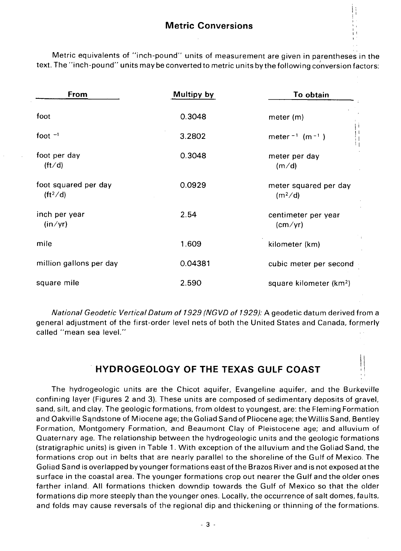it ! ' I  $, \cdot$ I  $\frac{1}{2}$ 

 $\left| \cdot \right|$ 

Metric equivalents of "inch-pound" units of measurement are given in parentheses in the text. The "inch-pound" units may be converted to metric units by the following conversion factors:

| From                               | Multipy by | To obtain                                    |
|------------------------------------|------------|----------------------------------------------|
| foot                               | 0.3048     | meter $(m)$                                  |
| foot $-1$                          | 3.2802     | meter $^{-1}$ (m $^{-1}$ )                   |
| foot per day<br>$({\rm ft/d})$     | 0.3048     | meter per day<br>(m/d)                       |
| foot squared per day<br>$(ft^2/d)$ | 0.0929     | meter squared per day<br>(m <sup>2</sup> /d) |
| inch per year<br>(in/yr)           | 2.54       | centimeter per year<br>$\text{(cm/yr)}$      |
| mile                               | 1.609      | kilometer (km)                               |
| million gallons per day            | 0.04381    | cubic meter per second                       |
| square mile                        | 2.590      | square kilometer (km <sup>2</sup> )          |

National Geodetic Vertical Datum of 1929 (NGVD of 1929): A geodetic datum derived from a general adjustment of the first-order level nets of both the United States and Canada, forrnerly called "mean sea level."

# **HYDROGEOLOGY OF THE TEXAS GULF COAST** \ I

The hydrogeologic units are the Chicot aquifer, Evangeline aquifer, and the Burkeville confining layer (Figures 2 and 3). These units are composed of sedimentary deposits of gravel, sand, silt, and clay. The geologic formations, from oldest to youngest, are: the Fleming Formation and Oakville Sqndstone of Miocene age; the Goliad Sand of Pliocene age; the Willis Sand, Bentley Formation, Montgomery Formation, and Beaumont Clay of Pleistocene age; and alluvium of Quaternary age. The relationship between the hydrogeologic units and the geologic formations (stratigraphic units) is given in Table 1. With exception of the alluvium and the Goliad Sand, the formations crop out in belts that are nearly parallel to the shoreline of the Gulf of Mexico. The Goliad Sand is overlapped by younger formations east ofthe Brazos River and is not exposed atthe surface in the coastal area. The younger formations crop out nearer the Gulf and the older ones farther inland. All formations thicken downdip towards the Gulf of Mexico so that the older formations dip more steeply than the younger ones. Locally, the occurrence of salt domes, faults, and folds may cause reversals of the regional dip and thickening or thinning of the formations.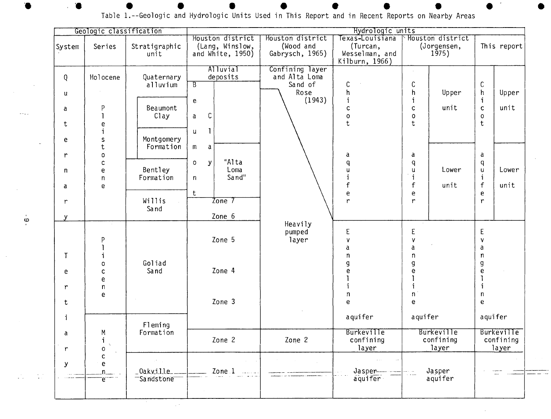|                                  | Hydrologic units<br>Geologic classification               |                                                                       |                                                                                                |                                                               |                                                                                                           |                                                                                  |                                                                                                                                                                    |
|----------------------------------|-----------------------------------------------------------|-----------------------------------------------------------------------|------------------------------------------------------------------------------------------------|---------------------------------------------------------------|-----------------------------------------------------------------------------------------------------------|----------------------------------------------------------------------------------|--------------------------------------------------------------------------------------------------------------------------------------------------------------------|
| System                           | Series                                                    | Stratigraphic<br>unit                                                 | Houston district<br>(Lang, Winslow,<br>and White, 1950)                                        | Houston district<br>(Wood and<br>Gabrysch, 1965)              | Texas-Louisiana<br>(Turcan,<br>Wesselman, and<br>Kilburn, 1966)                                           | Houston district<br>(Jorgensen,<br>$1\bar{9}75)$                                 | This report                                                                                                                                                        |
| Q<br>u<br>a<br>t<br>e            | Holocene<br>P<br>$\mathbf{I}$<br>e<br>Ť<br>s<br>${\bf t}$ | Quaternary<br>alluvium<br>Beaumont<br>Clay<br>Montgomery<br>Formation | Alluvial<br>deposits<br>$\overline{\mathsf{B}}$<br>e.<br>$\mathsf C$<br>a<br>L<br>u.<br>m<br>a | Confining layer<br>and Alta Loma<br>Sand of<br>Rose<br>(1943) | $\mathsf{C}$<br>h<br>i<br>C<br>$\mathbf 0$<br>$\mathsf t$                                                 | С<br>h<br>Upper<br>i<br>unit<br>$\mathsf{C}$<br>$\pmb{\mathsf{O}}$<br>t          | $\mathsf C$<br>$\mathsf{h}$<br>Upper<br>i<br>unit<br>$\mathbf{C}$<br>$\mathsf{o}$<br>t                                                                             |
| r<br>n<br>a<br>r<br>$\mathbf{y}$ | $\mathbf 0$<br>$\mathsf{C}$<br>e<br>n<br>e                | Bentley<br>Formation<br>Willis<br>Sand                                | "Alta<br>$\mathbf{y}$<br>$\mathbf{o}$<br>Loma<br>Sand"<br>n<br>t<br>Zone 7<br>Zone 6           |                                                               | a<br>$\mathsf{q}$<br>$\mathsf{u}$<br>$\mathbf{i}$<br>f<br>$\mathsf{e}% _{0}\left( \mathsf{e}\right)$<br>r | a<br>$\mathsf{q}$<br>Lower<br>$\mathbf u$<br>$\mathbf{i}$<br>f<br>unit<br>e<br>r | a<br>$\overline{q}$<br>$\sf u$<br>Lower<br>$\mathbf i$<br>$\mathsf f$<br>unit<br>$\mathsf{e}% _{t}\left( t\right)$<br>$\mathbf{r}$                                 |
| $\mathsf{T}$<br>e<br>r<br>t      | P<br>i.<br>0<br>$\mathsf{c}$<br>$\mathsf e$<br>n<br>e     | Goliad<br>Sand<br>$\sim$                                              | Zone 5<br>Zone 4<br>Zone 3                                                                     | Heavily<br>pumped<br>layer                                    | E<br>v<br>a<br>$\mathbf n$<br>g<br>e<br>i<br>n<br>e                                                       | E<br>$\pmb{\mathsf{V}}$<br>a<br>$\mathbf n$<br>g<br>e<br>i<br>$\mathsf{n}$<br>e  | $\mathsf E$<br>$\pmb{\mathsf{V}}$<br>a<br>$\mathsf n$<br>$\boldsymbol{g}$<br>$\mathbf{e}% _{t}\left( t\right)$<br>$\mathbf{I}$<br>$\mathbf{i}$<br>$\mathsf n$<br>e |
| i<br>a<br>r                      | M<br>$\mathbf{i}$<br>$\ddot{\phantom{0}}$<br>0            | Fleming<br>Formation                                                  | Zone 2                                                                                         | Zone 2                                                        | aquifer<br><b>Burkeville</b><br>confining<br>layer                                                        | aquifer<br><b>Burkeville</b><br>confining<br>layer                               | aquifer<br>Burkeville<br>confining<br>layer                                                                                                                        |
| $\mathbf y$                      | c.<br>e<br>n.<br>e.                                       | _Oakville_<br>Sandstone                                               | Zone <sub>1</sub>                                                                              |                                                               | Jasper<br>aquifer                                                                                         | Jasper<br>iling<br>Salaman<br>aquifer                                            |                                                                                                                                                                    |

Table 1.--Geologic and Hydrologic Units Used in This Report and in Recent Reports on Nearby Areas

 $\ddot{\circ}$ 

 $\sim 10^{11}$ 

 $\sim$   $\sim$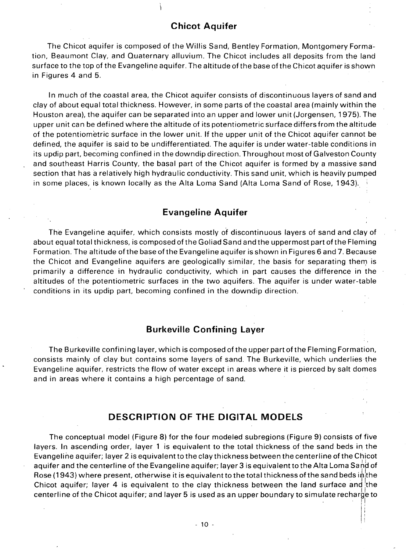#### **Chicot Aquifer**

The Chicot aquifer is composed of the Willis Sand, Bentley Formation, Montgomery Formation, Beaumont Clay, and Quaternary alluvium. The Chicot includes all deposits from the land surface to the top of the Evangeline aquifer. The altitude of the base of the Chicot aquifer is shown in Figures 4 and 5.

In much of the coastal area, the Chicot aquifer consists of discontinuous layers of sand and clay of about equal total thickness. However, in some parts of the coastal area (mainly within the Houston area), the aquifer can be separated into an upper and lower unit (Jorgensen, 1975). The upper unit can be defined where the altitude of its potentiometric surface differs from the altitude of the potentiometric surface in the lower unit. If the upper unit of the Chicot aquifer cannot be defined, the aquifer is said to be undifferentiated. The aquifer is under water-table conditions in its updip part, becoming confined in the downdip direction. Throughout most of Galveston County and southeast Harris County, the basal part of the Chicot aquifer is formed by a massive sand section that has a relatively high hydraulic conductivity. This sand unit, which is heavily pumped in some places, is known locally as the Alta Loma Sand (Alta Loma Sand of Rose, 1943).

#### **Evangeline Aquifer**

The Evangeline aquifer, which consists mostly of discontinuous layers of sand and clay of about equal total thickness, is composed of the Goliad Sand and the uppermost part of the Fleming Formation. The altitude ofthe base ofthe Evangeline aquifer is shown in Figures 6 and 7. Because the Chicot and Evangeline aquifers are geologically similar, the basis for separating them is primarily a difference in hydraulic conductivity, which in part causes the difference in the altitudes of the potentiometric surfaces in the two aquifers. The aquifer is under water-table conditions in its updip part, becoming confined in the downdip direction.

#### **Burkeville Confining Layer**

The Burkeville confining layer, which is composed of the upper part ofthe Fleming Formation, consists mainly of clay but contains some layers of sand. The Burkeville, which underlies the Evangeline aquifer, restricts the flow of water except in areas, where it is pierced by salt domes and in areas where it contains a high percentage of sand.

### **DESCRIPTION OF THE DIGITAL MODELS**

The conceptual model (Figure 8) for the four modeled subregions (Figure 9) consists of five layers. In ascending order, layer 1 is equivalent to the total thickness of the sand beds in the Evangeline aquifer; layer 2 is equivalent to the clay thickness between the centerline of the Chicot aquifer and the centerline of the Evangeline aquifer; layer 3 is equivalent to the Alta Loma Sand of Rose (1943) where present, otherwise it is equivalent to the total thickness of the sand beds in the Chicot aquifer; layer 4 is equivalent to the clay thickness between the land surface and the centerline of the Chicot aquifer; and layer 5 is used as an upper boundary to simulate recharge to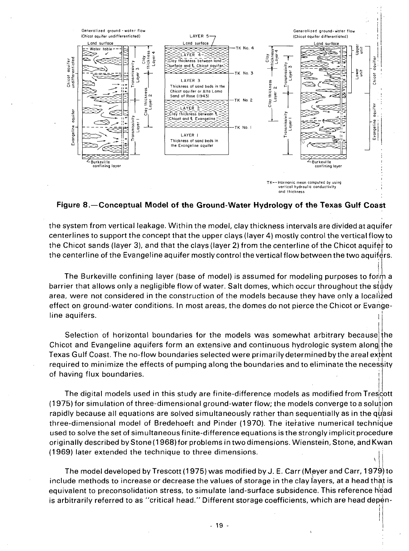

#### Figure 8.—Conceptual Model of the Ground-Water Hydrology of the Texas Gulf Coast

the system from vertical leakage. Within the model, clay thickness intervals are divided at aquifer centerlines to support the concept that the upper clays (layer 4) mostly control the vertical flow to the Chicot sands (layer 3), and that the clays (layer 2) from the centerline of the Chicot aquifer to the centerline of the Evangeline aquifer mostly control the vertical flow between the two aquifers.

The Burkeville confining layer (base of model) is assumed for modeling purposes to form a barrier that allows only a negligible flow of water. Salt domes, which occur throughout the study area, were not considered in the construction of the models because they have only a localized effect on ground-water conditions. In most areas, the domes do not pierce the Chicot or Evangeline aquifers.

Selection of horizontal boundaries for the models was somewhat arbitrary because the Chicot and Evangeline aguifers form an extensive and continuous hydrologic system along the Texas Gulf Coast. The no-flow boundaries selected were primarily determined by the areal extent required to minimize the effects of pumping along the boundaries and to eliminate the necessity of having flux boundaries.

The digital models used in this study are finite-difference models as modified from Trescott (1975) for simulation of three-dimensional ground-water flow; the models converge to a solution rapidly because all equations are solved simultaneously rather than sequentially as in the quasi three-dimensional model of Bredehoeft and Pinder (1970). The iterative numerical technique used to solve the set of simultaneous finite-difference equations is the strongly implicit procedure originally described by Stone (1968) for problems in two dimensions. Wienstein, Stone, and Kwan (1969) later extended the technique to three dimensions.

The model developed by Trescott (1975) was modified by J. E. Carr (Meyer and Carr, 1979) to include methods to increase or decrease the values of storage in the clay layers, at a head that is equivalent to preconsolidation stress, to simulate land-surface subsidence. This reference head is arbitrarily referred to as "critical head." Different storage coefficients, which are head depen-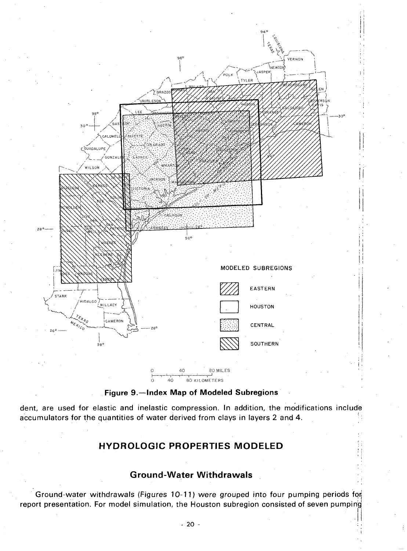



dent, are used for elastic and inelastic compression. In addition, the modifications include accumulators for the quantities of water derived from clays in layers 2 and 4.

# HYDROLOGIC PROPERTIES MODELED

#### **Ground-Water Withdrawals**

Ground-water withdrawals (Figures 10-11) were grouped into four pumping periods for report presentation. For model simulation, the Houston subregion consisted of seven pumping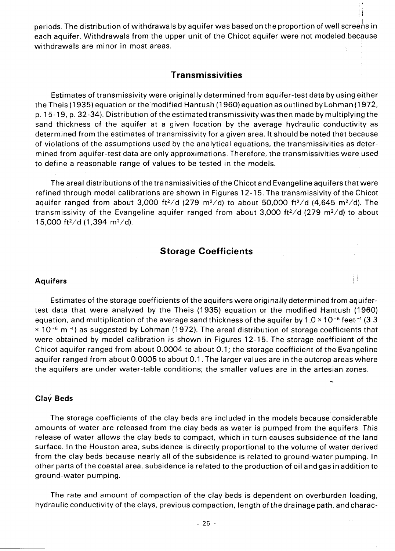periods. The distribution of withdrawals by aquifer was based on the proportion of well screens in each aquifer. Withdrawals from the upper unit of the Chicot aquifer were not modeled because withdrawals are minor in most areas.

: I

I,

#### **Transmissivities**

Estimates of transmissivity were originally determined from aquifer-test data by using either the Theis (1935) equation or the modified Hantush (1960) equation as outlined by Lohman (1972, p. 15-19, p. 32-34). Distribution of the estimated transmissivity was then made by multiplying the sand thickness of the aquifer at a given location by the average hydraulic conductivity as determined from the estimates of transmissivity for a given area. It should be noted that because of violations of the assumptions used by the analytical equations, the transmissivities as determined from aquifer-test data are only approximations. Therefore, the transmissivities were used to define a reasonable range of values to be tested in the models.

The areal distributions of the transmissivities of the Chicot and Evangeline aquifers that were refined through model calibrations are shown in Figures 12-15. The transmissivity of the Chicot aquifer ranged from about 3,000 ft<sup>2</sup>/d (279 m<sup>2</sup>/d) to about 50,000 ft<sup>2</sup>/d (4,645 m<sup>2</sup>/d). The transmissivity of the Evangeline aquifer ranged from about 3,000 ft<sup>2</sup>/d (279 m<sup>2</sup>/d) to about 15,000 ft<sup>2</sup>/d (1,394 m<sup>2</sup>/d).

#### **Storage Coefficients**

### **Aquifers** i!

Estimates of the storage coefficients of the aquifers were originally determined from aquifertest data that were analyzed by the Theis (1935) equation or the modified Hantush (1960) equation, and multiplication of the average sand thickness of the aquifer by  $1.0 \times 10^{-6}$  feet  $\leq 1$  (3.3  $\times$  10<sup>-6</sup> m<sup>-1</sup>) as suggested by Lohman (1972). The areal distribution of storage coefficients that were obtained by model calibration is shown in Figures 12-15. The storage coefficient of the Chicot aquifer ranged from about 0.0004 to about 0.1; the storage coefficient of the Evangeline aquifer ranged from about 0.0005 to about 0.1. The larger values are in the outcrop areas where the aquifers are under water-table conditions; the smaller values are in the artesian zones.

#### **Clay Beds**

The storage coefficients of the clay beds are included in the models because considerable amounts of water are released from the clay beds as water is pumped from the aquifers. This release of water allows the clay beds to compact, which in turn causes subsidence of the land surface. In the Houston area, subsidence is directly proportional to the volume of water derived from the clay beds because nearly all of the subsidence is related to ground-water pumping. In other parts of the coastal area, subsidence is related to the production of oil and gas in addition to ground-water pumping.

The rate and amount of compaction of the clay beds is dependent on overburden loading, hydraulic conductivity of the clays, previous compaction, length ofthe drainage path, and charac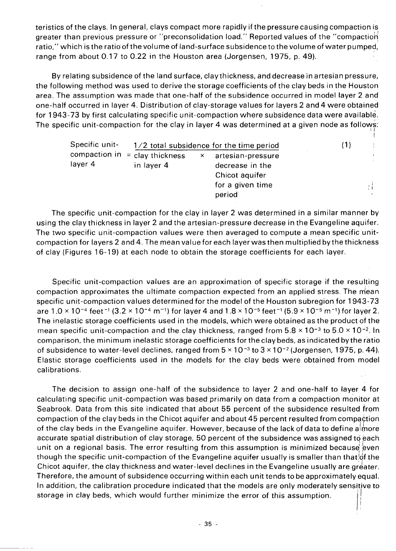teristics of the clays. In general, clays compact more rapidly if the pressure causing compaction is greater than previous pressure or "preconsolidation load." Reported values of the "compaction ratio," which is the ratio of the volume of land-surface subsidence to the volume of water pumped, range from about 0.17 to 0.22 in the Houston area (Jorgensen, 1975, p. 49).

By relating subsidence of the land surface, clay thickness, and decrease in artesian pressure, the following method was used to derive the storage coefficients of the clay beds in the Houston area. The assumption was made that one-half of the subsidence occurred in model layer 2 and one-half occurred in layer 4. Distribution of clay-storage values for layers 2 and 4 were obtained for 1943-73 by first calculating specific unit-compaction where subsidence data were available. The specific unit-compaction for the clay in layer 4 was determined at a given node as follows:

| Specific unit- | $1/2$ total subsidence for the time period     |          |                                                                                      | (1) |  |
|----------------|------------------------------------------------|----------|--------------------------------------------------------------------------------------|-----|--|
| layer 4        | compaction in $=$ clay thickness<br>in layer 4 | $\times$ | artesian-pressure<br>decrease in the<br>Chicot aquifer<br>for a given time<br>period |     |  |

I

The specific unit-compaction for the clay in layer 2 was determined in a similar manner by using the clay thickness in layer 2 and the artesian-pressure decrease in the Evangeline aquifer. The two specific unit-compaction values were then averaged to compute a mean specific unitcompaction for layers 2 and 4. The mean value for each layer was then multiplied by the thickness of clay (Figures 16-19) at each node to obtain the storage coefficients for each layer.

Specific unit-compaction values are an approximation of specific storage if the resulting compaction approximates the ultimate compaction expected from an applied stress. The mean specific unit-compaction values determined for the model of the Houston subregion for 1943-73 are  $1.0 \times 10^{-4}$  feet <sup>-1</sup> (3.2  $\times$  10<sup>-4</sup> m<sup>-1</sup>) for layer 4 and  $1.8 \times 10^{-5}$  feet <sup>-1</sup> (5.9  $\times$  10<sup>-5</sup> m<sup>-1</sup>) for layer 2. The inelastic storage coefficients used in the models, which were obtained as the product of the mean specific unit-compaction and the clay thickness, ranged from  $5.8 \times 10^{-3}$  to  $5.0 \times 10^{-2}$ . In comparison, the minimum inelastic storage coefficients for the clay beds, as indicated by the ratio of subsidence to water-level declines, ranged from  $5 \times 10^{-3}$  to  $3 \times 10^{-2}$  (Jorgensen, 1975, p. 44). Elastic storage coefficients used in the models for the clay beds were obtained from model calibrations.

The decision to assign one-half of the subsidence to layer 2 and one-half to layer 4 for calculating specific unit-compaction was based primarily on data from a compaction monitor at Seabrook. Data from this site indicated that about 55 percent of the subsidence resulted from compaction of the clay beds in the Chicot aquifer and about 45 percent resulted from compaction of the clay beds in the Evangeline aquifer. However, because of the lack of data to define alrinore accurate spatial distribution of clay storage, 50 percent of the subsidence was assigned to each unit on a regional basis. The error resulting from this assumption is minimized because even though the specific unit-compaction of the Evangeline aquifer usually is smaller than that!df the Chicot aquifer, the clay thickness and water-level declines in the Evangeline usually are greater. Therefore, the amount of subsidence occurring within each unit tends to be approximately equal. In addition, the calibration procedure indicated that the models are only moderately sensitive to storage in clay beds, which would further minimize the error of this assumption.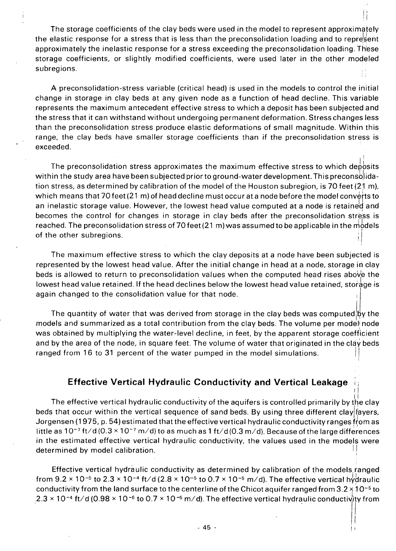The storage coefficients of the clay beds were used in the model to represent approximately the elastic response for a stress that is less than the preconsolidation loading and to represent approximately the inelastic response for a stress exceeding the preconsolidation loading. Th'ese storage coefficients, or slightly modified coefficients, were used later in the other modeled subregions.

i'  $\cdot$  I .

i

. /1

A preconsolidation-stress variable (critical head) is used in the models to control the initial change in storage in clay beds at any given node as a function of head decline. This variable represents the maximum antecedent effective stress to which a deposit has been subjected and the stress that it can withstand without undergoing permanent deformation. Stress changes less than the preconsolidation stress produce elastic deformations of small magnitude. Within this range, the clay beds have smaller storage coefficients than if the preconsolidation stress is exceeded.

The preconsolidation stress approximates the maximum effective stress to which deposits within the study area have been subjected prior to ground-water development. This preconsolidation stress, as determined by calibration of the model of the Houston subregion, is 70 feet (21 m), which means that 70 feet (21 m) of head decline must occur at a node before the model converts to an inelastic storage value. However, the lowest head value computed at a node is retained and becomes the control for changes in storage in clay beds after the preconsolidation stress is reached. The preconsolidation stress of 70 feet (21 m) was assumed to be applicable in the  $m\ddot{o}$ dels of the other subregions.  $\cdot$  i

The maximum effective stress to which the clay deposits at a node have been subjected is represented by the lowest head value. After the initial change in head at a node, storage in clay beds is allowed to return to preconsolidation values when the computed head rises above the lowest head value retained. If the head declines below the lowest head value retained, storage is again changed to the consolidation value for that node.

The quantity of water that was derived from storage in the clay beds was computed  $\beta y$  the models and summarized as a total contribution from the clay beds. The volume per model node was obtained by multiplying the water-level decline, in feet, by the apparent storage coefficient and by the area of the node, in square feet. The volume of water that originated in the clay beds ranged from 16 to 31 percent of the water pumped in the model simulations.

### **Effective Vertical Hydraulic Conductivity and Vertical Leakage**

II . II The effective vertical hydraulic conductivity of the aquifers is controlled primarily by the clay beds that occur within the vertical sequence of sand beds. By using three different clay  $\|\mathbf{a}\|$  pers, Jorgensen (1975, p. 54) estimated that the effective vertical hydraulic conductivity ranges from as little as  $10^{-7}$  ft/d (0.3  $\times$  10<sup>-7</sup> m/d) to as much as 1 ft/d (0.3 m/d). Because of the large differences in the estimated effective vertical hydraulic conductivity, the values used in the models were determined by model calibration.

Effective vertical hydraulic conductivity as determined by calibration of the models. ranged from  $9.2 \times 10^{-5}$  to  $2.3 \times 10^{-4}$  ft/d ( $2.8 \times 10^{-5}$  to  $0.7 \times 10^{-5}$  m/d). The effective vertical hydraulic conductivity from the land surface to the centerline of the Chicot aquifer ranged from  $3.2 \times 10^{-5}$  to  $2.3 \times 10^{-4}$  ft/d (0.98  $\times$  10<sup>-6</sup> to 0.7  $\times$  10<sup>-5</sup> m/d). The effective vertical hydraulic conductivity from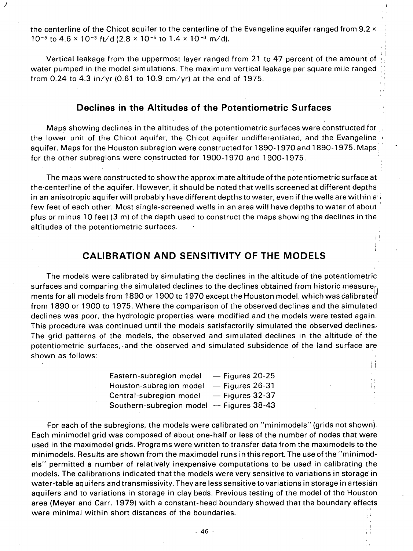the centerline of the Chicot aquifer to the centerline of the Evangeline aquifer ranged from 9.2  $\times$ 10<sup>-5</sup> to 4.6  $\times$  10<sup>-3</sup> ft/d (2.8  $\times$  10<sup>-5</sup> to 1.4  $\times$  10<sup>-3</sup> m/d).

. Vertical leakage from the uppermost layer ranged from 21 to 47 percent of the amount of water pumped in the model simulations. The maximum vertical leakage per square mile ranged from 0.24 to 4.3 in/yr (0.61 to 10.9 cm/yr) at the end of 1975.

 $| \cdot |$ 

, I

i I / i I,

Ii

I,

#### **Declines in the Altitudes of the Potentiometric Surfaces**

Maps showing declines in the altitudes of the potentiometric surfaces were constructed for the lower unit of the Chicot aquifer, the Chicot aquifer undifferentiated, and the Evangeline  $\pm$ aquifer. Maps for the Houston subregion were constructed for 1890-1970 and 1890-1975. Mapsfor the other subregions were constructed for 1900-1970 and 1900-1975.

The maps were constructed to show the approximate altitude ofthe potentiometric surface at the centerline of the aquifer. However, it should be noted that wells screened at different depths in an anisotropic aquifer will probably have different depths to water, even if the wells are within a  $\cdot$ few feet of each other. Most single-screened wells in an area will have depths to water of about plus or minus 10 feet (3 m) of the depth used to construct the maps showing the declines in the altitudes of the potentiometric surfaces.

# **CALIBRATION AND SENSITIVITY OF THE MODELS**

The models were calibrated by simulating the declines in the altitude of the potentiometric surfaces and comparing the simulated declines to the declines obtained from historic measurements for all models from 1890 or 1900 to 1970 except the Houston model, which was calibrated from 1890 or 1900 to 1975. Where the comparison of the observed declines and the sim'ulated declines was poor, the hydrologic properties were modified and the models were tested again. This procedure was continued until the models satisfactorily simulated the observed declines, The grid patterns of the models, the observed and simulated declines in the altitude of the potentiometric surfaces, and the observed and simulated subsidence of the land surface are shown as follows:

> Eastern-subregion model Houston-subregion model Central-subregion model Southern-subregion model - Figures 38-43  $-$  Figures 20-25  $-$  Figures 26-31  $-$  Figures 32-37

For each of the subregions, the models were calibrated on "minimodels" (grids not shown). Each minimodel grid was composed of about one-half or less of the number of nodes that we're used in the maximodel grids. Programs were written to transfer data from the maximodels to the minimodels. Results are shown from the maximodel runs in this report. The use ofthe "minimodels" permitted a number of relatively inexpensive computations to be used in calibrating the models. The calibrations indicated that the models were very sensitive to variations in storage in water-table aquifers and transmissivity. They are less sensitive to variations in storage in artesian aquifers and to variations in storage in clay beds. Previous testing of the model of the Houston area (Meyer and Carr, 1979) with a constant-head boundary showed that the boundary effects were minimal within short distances of the boundaries.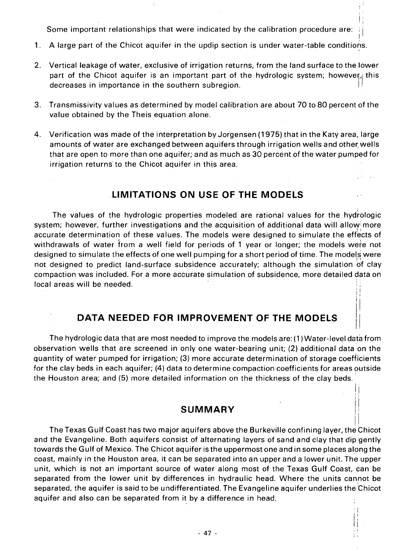Some important relationships that were indicated by the calibration procedure are:

 $\mathsf{I}$  ;

I

, I  $\prod_{i=1}^{n}$ 

 $\prod_{i=1}^n$ 

I Ii

; ,

- 1. A large part of the Chicot aquifer in the updip section is under water-table conditions.
- 2. Vertical leakage of water, exclusive of irrigation returns, from the land surface to the lower part of the Chicot aquifer is an important part of the hydrologic system; however, this decreases in importance in the southern subregion.
- 3. Transmissivity values as determined by model calibration are about 70 to 80 percent of the value obtained by the Theis equation alone.
- 4. Verification was made of the interpretation by Jorgensen (1975) that in the Katy area, large amounts of water are exchanged between aquifers through irrigation wells and other wells that are open to more than one aquifer; and as much as 30 percent of the water pumped for irrigation returns to the Chicot aquifer in this area.

### **. LlMITATIONS ON USE OF THE MODELS**

The values of the hydrologic properties modeled are rational values for the hydrologic system; however, further investigations and the acquisition of additional data will allow more accurate determination of these values. The models were designed to simulate the effects of withdrawals of water from a well field for periods of 1 year or longer; the models wete not designed to simulate the effects of one well pumping for a short period of time. The models were not designed to predict land-surface subsidence accurately; although the simulation of clay compaction was included. For a more accurate simulation of subsidence, more detailed data on local areas will be needed.  $\frac{1}{2}$ . I'

#### **DATA NEEDED FOR IMPROVEMENT OF THE MODELS**

The hydrologic data that are most needed to improve the models are: (1) Water-level data from observation wells that are screened in only one water-bearing unit; (2) additional data on the quantity of water pumped for irrigation; (3) more accurate determination of storage coefficients for the clay beds in each aquifer; (4) data to determine compaction coefficients for areas outside the Houston area; and (5) more detailed information on the thickness of the clay beds.

#### **SUMMARY**

The Texas Gulf Coast has two major aquifers above the Burkeville confining layer, the Chicot and the Evangeline. Both aquifers consist of alternating layers of sand and clay that dip gently towards the Gulf of Mexico. The Chicot aquifer is the uppermost one and in some places alpng the coast, mainly in the Houston area, it can be separated into an upper and a lower unit. The upper unit, which is not an important source of water along most of the Texas Gulf Coast, can be separated from the lower unit by differences in hydraulic head. Where the units cannot be separated, the aquifer is said to be undifferentiated. The Evangeline aquifer underlies the Chicot aquifer and also can be separated from it by a difference in head.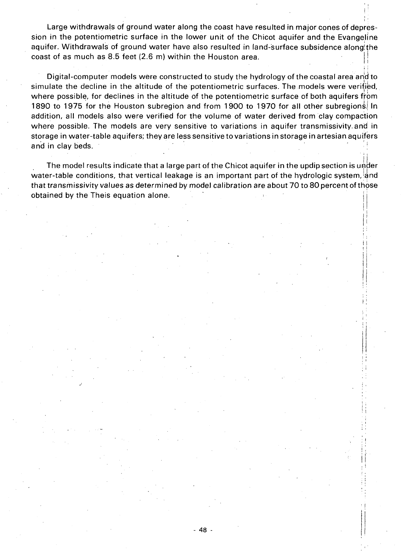Large withdrawals of ground water along the coast have resulted in major cones of depression in the potentiometric surface in the lower unit of the Chicot aquifer and the Evangeline aquifer. Withdrawals of ground water have also resulted in land-surface subsidence alongithe coast of as much as  $8.5$  feet (2.6 m) within the Houston area.

i'

11

i:

 $\frac{1}{2}$ 

f'l  $\mathcal{G}$  ,

: '

 $\ddagger$  i

, !  $!\,;$ 11 : t  $; \mathbf{i}$  ,

 $\pm$   $\frac{1}{2}$ 

 $\begin{picture}(20,20) \put(0,0){\line(1,0){10}} \put(10,0){\line(1,0){10}} \put(10,0){\line(1,0){10}} \put(10,0){\line(1,0){10}} \put(10,0){\line(1,0){10}} \put(10,0){\line(1,0){10}} \put(10,0){\line(1,0){10}} \put(10,0){\line(1,0){10}} \put(10,0){\line(1,0){10}} \put(10,0){\line(1,0){10}} \put(10,0){\line(1,0){10}} \put(10,0){\line(1$ 

Digital-computer models were constructed to study the hydrology of the coastal area and to simulate the decline in the altitude of the potentiometric surfaces. The models were verified, where possible, for declines in the altitude of the potentiometric surface of both aquifers from 1890 to 1975 for the Houston subregion and from 1900 to 1970 for all other subregions. In addition, all models also were verified for the volume of water derived from clay compaction where possible. The models are very sensitive to variations in aquifer transmissivity. *and* in storage in water-table aquifers; they are less sensitive to variations in storage in artesian aquifers and in clay beds.<br>Where possible. The models are very sensitive to variations in aquifer transmissivity and<br>storage in water-table aquifers; they are less sensitive to variations in storage in artesian aquife<br>and in clay b

The model results indicate that a large part of the Chicot aquifer in the updip section is under<br>water-table conditions, that vertical leakage is an important part of the hydrologic system, and that transmissivity values as determined by model calibration are about 70 to 80 percent of those obtained by the Theis equation alone. .

*.J*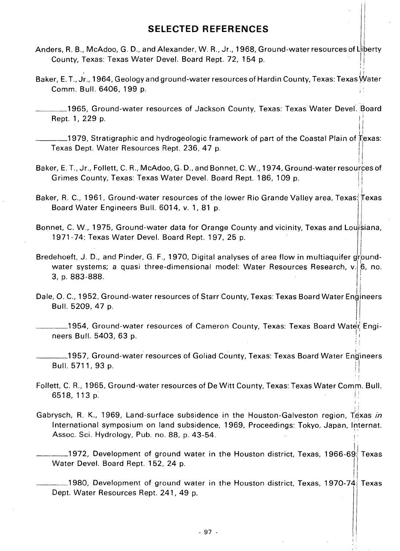#### **SELECTED REFERENCES**

- Anders, R. B., McAdoo, G. D., and Alexander, W. R., Jr., 1968, Ground-water resources of Liberty County, Texas: Texas Water Devel. Board Rept. 72, 154 p.
- II Baker, E. T., Jr., 1964, Geology and ground-water resources of Hardin County, Texas: Texas Water Comm. Bull. 6406, 199 p.

\_\_\_\_ 1965, Ground-water resources of Jackson County, Texas: Texas Water Devel·. Board Rept. 1, 229 p.

\_\_\_\_\_\_\_1979, Stratigraphic and hydrogeologic framework of part of the Coastal Plain of Texas: Texas Dept. Water Resources Rept. 236, 47 p.

II

. I

 $\mathbb{I}$  i

'i

Ii

I

- Baker, E. T., Jr., Follett, C. R., McAdoo, G. D., and Bonnet, C. W., 1974, Ground-water resources of Grimes County, Texas: Texas Water Devel. Board Rept. 186, 109 p. i!
- Baker, R. C., 1961, Ground-water resources of the lower Rio Grande Valley area, Texas:  $\stackrel{\perp}{|}$ exas Board Water Engineers Bull. 6014, v. 1, 81 p.
- Bonnet, C. W., 1975, Ground-water data for Orange County and vicinity, Texas and Louisiana, 1971-74: Texas Water Devel. Board Rept. 197, 25 p.
- Bredehoeft, J. D., and Pinder, G. F., 1970, Digital analyses of area flow in multiaquifer groundwater systems; a quasi three-dimensional model: Water Resources Research,  $v.$  6, no. 3, p. 883-888. . i d-water data for Orange County and viologies<br>Devel. Board Rept. 197, 25 p.<br>r, G. F., 1970, Digital analyses of area fli<br>three-dimensional model: Water Res<br>ater resources of Starr County, Texas: Te<br>r resources of Cameron Co
- السوارية Dale, O. C., 1952, Ground-water resources of Starr County, Texas: Texas Board Water Engineers Bull. 5209, 47 p.<br>II ...<br>II 1954, Ground-water resources of Cameron County, Texas: Texas Board Water Engi-

neers Bull. 5403, 63 p. <sup>~</sup>!

I \_\_\_\_ 1957, Ground-water resources of Goliad County, Texas: Texas Board Water Eng'ineers المستوى العربي المستوى المستوى المستوى المستوى المستوى المستوى المستوى المستوى المستوى المستوى المستوى المستوى<br>||<br>| |

Follett, C. R., 1965, Ground-water resources of De Witt County, Texas: Texas Water Comm. Bull.<br>6518, 113 p. i,

Gabrysch, R. K., 1969, Land-surface subsidence in the Houston-Galveston region, Texas *in* International symposium on land subsidence, 1969, Proceedings: Tokyo, Japan, Internat. Assoc. Sci. Hydrology, Pub. no. 88, p. 43-54. ! .

\_\_\_\_\_\_\_1972, Development of ground water in the Houston district, Texas, 1966-69: Texas Water Devel. Board Rept. 152, 24 p.  $\prod_{i=1}^{n}$ 

!  $\_$ 1980, Development of ground water in the Houston district, Texas, 1970-74: Texas Dept. Water Resources Rept. 241, 49 p.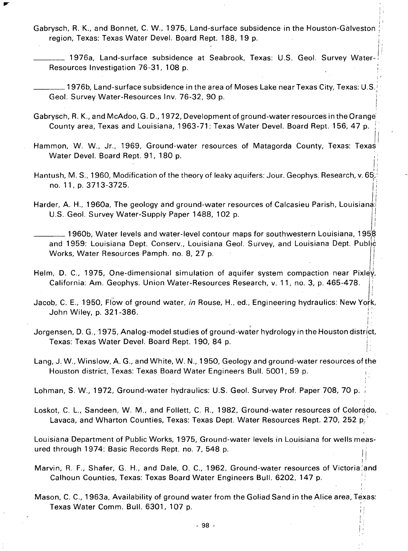Gabrysch, R. K., and Bonnet, C. W., 1975, Land-surface subsidence in the Houston-Galveston: ' region, Texas: Texas Water Devel. Board Rept. 188, 19 p.

 $\vert$  ). i I

I'

I

I

I

i

,

- 1976a, Land-surface subsidence at Seabrook, Texas: U.S. Geol. Survey Water-, Resources Investigation 76-31, 108 p.
- $, \frac{1}{1}$  $\_$  1976b, Land-surface subsidence in the area of Moses Lake near Texas City, Texas: U.S.  $\,$ I Geol. Survey Water-Resources Inv. 76-32, 90 p.
- Gabrysch, R. K., and McAdoo, G. D., 1972, Development of ground-water resources in the Orange' County area, Texas and Louisiana, 1963-71: Texas Water Devel. Board Rept. 156, 47 p.
- Hammon, W. W., Jr., 1969, Ground-water resources of Matagorda County, Texas: Texas Water Devel. Board Rept. 91, 180 p.
- Ii Hantush, M. S., 1960, Modification of the theory of leaky aquifers: Jour. Geophys. Research, v. 65, no. 11, p. 3713-3725.
- Harder, A. H., 1960a, The geology and ground-water resources of Calcasieu Parish, Louisiana: U.S. Geol. Survey Water-Supply Paper 1488, 102 p. I

 $\_$  1960b, Water levels and water-level contour maps for southwestern Louisiana, 1958 and 1959: Louisiana Dept. Conserv., Louisiana Geol. Survey, and Louisiana Dept. Public<br>Works, Water Resources Pamph. no. 8, 27 p.

- Helm, D. C., 1975, One-dimensional simulation of aquifer system compaction near Pixley, California: Am. Geophys. Union Water-Resources Research, v. 11, no. 3, p. 465-478. ' I
- Jacob, C. E., 1950, Flow of ground water, *in* Rouse, H., ed., Engineering hydraulics: New York, John Wiley, p. 321-386.
- Jorgensen, D. G., 1975, Analog-model studies of ground-water hydrology in the Houston district, Texas: Texas Water Devel. Board Rept. 190, 84 p. ;  $\left| \cdot \right|$
- Lang, J. W., Winslow, A. G., and White, W. N., 1950, Geology and ground-water resources of the Houston district, Texas: Texas Board Water Engineers Bull. 5001, 59 p.

Lohman, S. W., 1972, Ground-water hydraulics: U.S. Geol. Survey Prof. Paper 708, 70 p.

Loskot, C. L., Sandeen, W. M., and Follett, C. R., 1982, Ground-water resources of Colorado, Lavaca, and Wharton Counties, Texas: Texas Dept. Water Resources Rept. 270, 252 p;.'

Louisiana Department of Public Works, 1975, Ground-water levels in Louisiana for wells measured through 1974: Basic Records Rept. no. 7, 548 p.

- Marvin, R. F., Shafer, G. H., and Dale, O. C., 1962, Ground-water resources of Victoria and Calhoun Counties, Texas: Texas Board Water Engineers Bull. 6202, 147 p.
- Mason, C. C., 1963a, Availability of ground water from the Goliad Sand in the Alice area, Texas: Texas Water Comm. Bull. 6301, 107 p.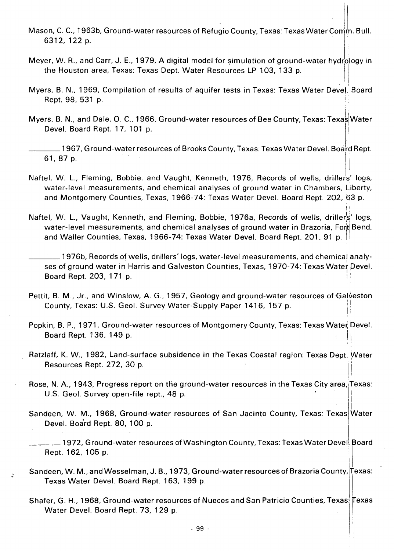- Mason, C. C., 1963b, Ground-water resources of Refugio County, Texas: Texas Water Comm. Bull.<br>|-<br>| |
- Meyer, W. R., and Carr, J. E., 1979, A digital model for simulation of ground-water hydrology in the Houston area, Texas: Texas Dept. Water Resources LP-103, 133 p.
- . , Myers, B. N., 1969, Compilation of results of aquifer tests in Texas: Texas Water Devel. Board Rept. 98, 531 p.
- Myers, B. N., and Dale, O. C., 1966, Ground-water resources of Bee County, Texas: Texas Water Devel. Board Rept. 17, 101 p.
- $\_$  1967, Ground-water resources of Brooks County, Texas: Texas Water Devel. Board Rept. 61, 87 p. . . . II
- Naftel, W. L., Fleming, Bobbie, and Vaught, Kenneth, 1976, Records of wells, drillers' logs, water-level measurements, and chemical analyses of ground water in Chambers, Liberty, and Montgomery Counties, Texas, 1966-74: Texas Water Devel. Board Rept. 202,63 p.
- Naftel, W. L., Vaught, Kenneth, and Fleming, Bobbie, 1976a, Records of wells, drillers' logs, water-level measurements, and chemical analyses of ground water in Brazoria, Fort Bend, and Waller Counties, Texas, 1966-74: Texas Water Devel. Board Rept. 201, 91 p.

I'

, '

I

- \_\_\_\_ 1976b, Records of wells, drillers' logs, water-level measurements, and chemical analyses of ground water in Harris and Galveston Counties, Texas, 1970-74: Texas Water Devel.<br>-Board Rept. 203, 171 p.
- Pettit, B. M., Jr., and Winslow, A. G., 1957, Geology and ground-water resources of Galveston County, Texas: U.S. Geol. Survey Water-Supply Paper 1416, 157 p.
- Popkin, B. P., 1971, Ground-water resources of Montgomery County, Texas: Texas Water Devel. Board Rept. 136, 149 p.
- Ratzlaff, K. W., 1982, Land-surface subsidence in the Texas Coastal region: Texas Dept. Water Resources Rept. 272, 30 p.
- Rose, N. A., 1943, Progress report on the ground-water resources in the Texas City area, Texas: U.S. Geol. Survey open-file rept., 48 p.
- Sandeen, W. M., 1968, Ground-water resources of San Jacinto County, Texas: Texas Water Devel. Board Rept. 80, 100 p.
- \_\_\_\_ 1972, Ground-water resources of Washington County, Texas: Texas Water Devel. Board Rept. 162, 105 p. i I
- Sandeen, W. M., and Wesselman, J. B., 1973, Ground-water resources of Brazoria County, Texas: Texas Water Devel. Board Rept. 163, 199 p.

 $\hat{q}$ 

Shafer, G. H., 1968, Ground-water resources of Nueces and San Patricio Counties, Texas: Texas Water Devel. Board Rept. 73, 129 p.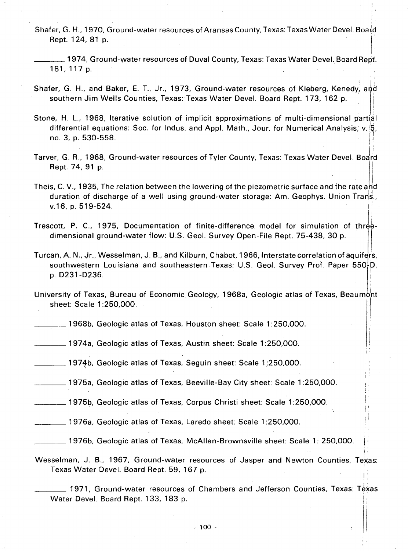Shafer, G. H., 1970, Ground-water resources of Aransas County, Texas: Texas Water Devel. Board Rept. 124, 81 p.

i. . .

 $, \cdot$ 

 $\vert$  :  $\mathbf{I}$ II I'

 $\vert$ ' I  $\left| \cdot \right|$ 

 $\frac{1}{1+\epsilon}$ 

- \_\_\_\_ 1974, Ground-water resources of Duval County, Texas: Texas Water DeveL Board Rep!. **181, 117 p.**  $\begin{bmatrix} 1 & 0 & 0 \\ 0 & 0 & 0 \\ 0 & 0 & 0 \end{bmatrix}$
- Shafer, G. H., and Baker, E. T., Jr., 1973, Ground-water resources of Kleberg, Kenedy, and southern Jim Wells Counties, Texas: Texas Water Devel. Board Rept. 173, 162 p.
- Stone, H. L., 1968, Iterative solution of implicit approximations of multi-dimensional partial differential equations: Soc. for Indus. and Appl. Math., Jour. for Numerical Analysis; v. 5, I no. 3, p. 530-558. I
- . . Ii Tarver, G. R., 1968, Ground-water resources of Tyler County, Texas: Texas Water Devel. Board Rept. 74, 91 p.
- Theis, C. V., 1935, The relation between the lowering of the piezometric surface and the rate and duration of discharge of a well using ground-water storage: Am. Geophys. Union Tran's., v.16, p. 519-524.
- Trescott, P. C., 1975, Documentation of finite-difference model for simulation of threedimensional ground-water flow: U.S. Geol. Survey Open-File Rept. 75-438, 30 p.
- Turcan, A. N., Jr., Wesselman, J. B., and Kilburn, Chabot, 1966, Interstate correlation of aquifers, southwestern Louisiana and southeastern Texas: U.S. Geol. Survey Prof. Paper  $550\frac{1}{2}D$ , I p. D231 -D236. i
- University of Texas, Bureau of Economic Geology, 1968a, Geologic atlas of Texas, Beaumo'nt sheet: Scale 1:250,000.
- \_\_\_ 1968b, Geologic atlas of Texas, Houston sheet: Scale 1 :250,000.
- \_\_\_ 1974a, Geologic atlas of Texas, Austin sheet: Scale 1 :250,000.
- \_\_\_ 1971b, Geologic atlas of Texas, Seguin sheet: Scale 1 ;250,000.
- \_\_\_ 1975a, Geologic atlas of Texas, Beeville-Bay City sheet: Scale 1 :250,000.
- \_\_\_ 1975b, Geologic atlas of Texas, Corpus Christi sheet: Scale 1 :250,000.
- \_\_\_ 1976a, Geologic atlas of Texas, Laredo sheet: Scale 1 :250,000.
- \_\_\_\_ 1976b, Geologic atlas of Texas, McAllen-Brownsville sheet: Scale 1: 250,000.
- Wesselman, J. B., 1967, Ground-water resources of Jasper and Newton Counties, Texas: Texas Water Devel. Board Rept. 59, 167 p.
	- \_\_\_\_ 1971, Ground-water resources of Chambers and Jefferson Counties, Texas: Te~as Water Devel. Board Rept. 133, 183 p.